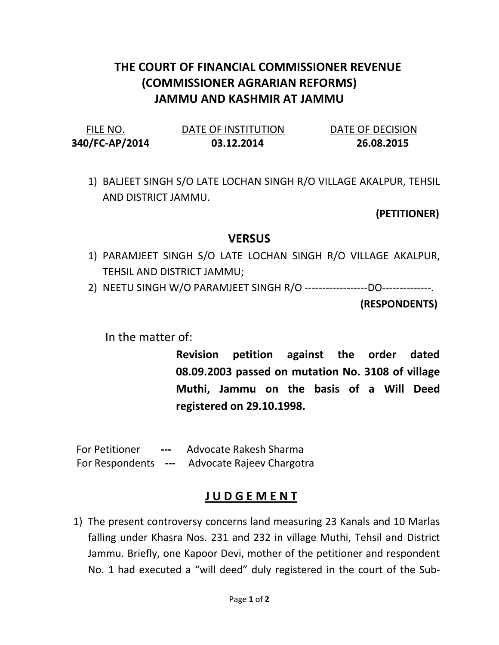## THE COURT OF FINANCIAL COMMISSIONER REVENUE (COMMISSIONER AGRARIAN REFORMS) JAMMU AND KASHMIR AT JAMMU

| FILE NO.       | DATE OF INSTITUTION | DATE OF DECISION |
|----------------|---------------------|------------------|
| 340/FC-AP/2014 | 03.12.2014          | 26.08.2015       |

1) BALJEET SINGH S/O LATE LOCHAN SINGH R/O VILLAGE AKALPUR, TEHSIL AND DISTRICT JAMMU.

(PETITIONER)

## VERSUS

- 1) PARAMJEET SINGH S/O LATE LOCHAN SINGH R/O VILLAGE AKALPUR, TEHSIL AND DISTRICT JAMMU;
- 2) NEETU SINGH W/O PARAMJEET SINGH R/O ------------------DO--------------.

(RESPONDENTS)

In the matter of:

Revision petition against the order dated 08.09.2003 passed on mutation No. 3108 of village Muthi, Jammu on the basis of a Will Deed registered on 29.10.1998.

 For Petitioner --- Advocate Rakesh Sharma For Respondents --- Advocate Rajeev Chargotra

## J U D G E M E N T

1) The present controversy concerns land measuring 23 Kanals and 10 Marlas falling under Khasra Nos. 231 and 232 in village Muthi, Tehsil and District Jammu. Briefly, one Kapoor Devi, mother of the petitioner and respondent No. 1 had executed a "will deed" duly registered in the court of the Sub-